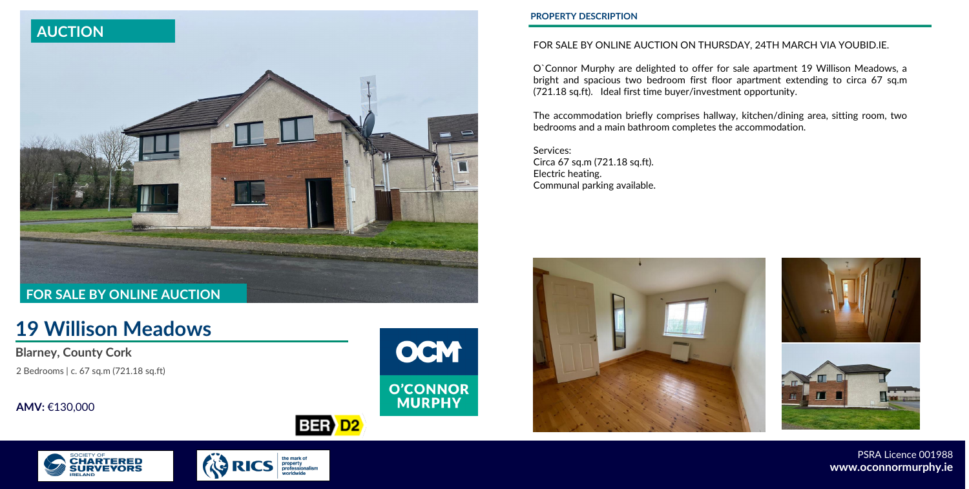# **19 Willison Meadows**

# **Blarney, County Cork**

2 Bedrooms | c. 67 sq.m (721.18 sq.ft)

**AMV:** €130,000



## **PROPERTY DESCRIPTION**

PSRA Licence 001988 **www.oconnormurphy.ie**



# FOR SALE BY ONLINE AUCTION ON THURSDAY, 24TH MARCH VIA YOUBID.IE.

O`Connor Murphy are delighted to offer for sale apartment 19 Willison Meadows, a bright and spacious two bedroom first floor apartment extending to circa 67 sq.m (721.18 sq.ft). Ideal first time buyer/investment opportunity.

The accommodation briefly comprises hallway, kitchen/dining area, sitting room, two bedrooms and a main bathroom completes the accommodation.

Services: Circa 67 sq.m (721.18 sq.ft). Electric heating. Communal parking available.







BER D<sub>2</sub>

the mark of<br>property<br>professionalisn